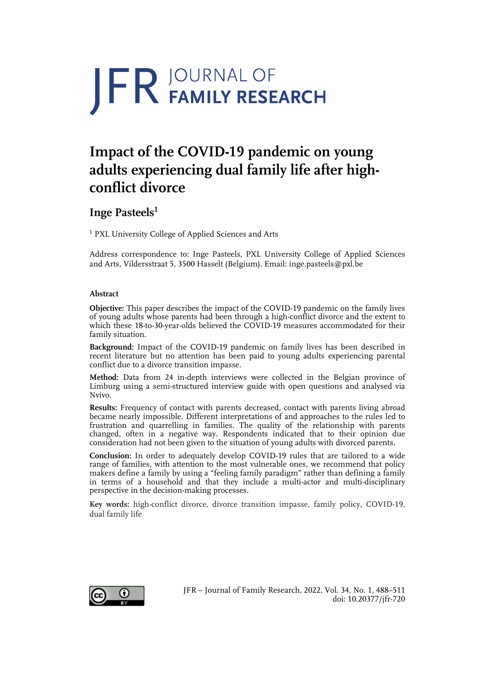# **JFR JOURNAL OF**

## **Impact of the COVID-19 pandemic on young adults experiencing dual family life after highconflict divorce**

### **Inge Pasteels1**

<sup>1</sup> PXL University College of Applied Sciences and Arts

Address correspondence to: Inge Pasteels, PXL University College of Applied Sciences and Arts, Vildersstraat 5, 3500 Hasselt (Belgium). Email: inge.pasteels@pxl.be

#### **Abstract**

**Objective:** This paper describes the impact of the COVID-19 pandemic on the family lives of young adults whose parents had been through a high-conflict divorce and the extent to which these 18-to-30-year-olds believed the COVID-19 measures accommodated for their family situation.

**Background:** Impact of the COVID-19 pandemic on family lives has been described in recent literature but no attention has been paid to young adults experiencing parental conflict due to a divorce transition impasse.

**Method:** Data from 24 in-depth interviews were collected in the Belgian province of Limburg using a semi-structured interview guide with open questions and analysed via Nvivo.

**Results:** Frequency of contact with parents decreased, contact with parents living abroad became nearly impossible. Different interpretations of and approaches to the rules led to frustration and quarrelling in families. The quality of the relationship with parents changed, often in a negative way. Respondents indicated that to their opinion due consideration had not been given to the situation of young adults with divorced parents.

**Conclusion:** In order to adequately develop COVID-19 rules that are tailored to a wide range of families, with attention to the most vulnerable ones, we recommend that policy makers define a family by using a "feeling family paradigm" rather than defining a family in terms of a household and that they include a multi-actor and multi-disciplinary perspective in the decision-making processes.

**Key words:** high-conflict divorce, divorce transition impasse, family policy, COVID-19, dual family life



JFR – Journal of Family Research, 2022, Vol. 34, No. 1, 488–511 doi: 10.20377/jfr-720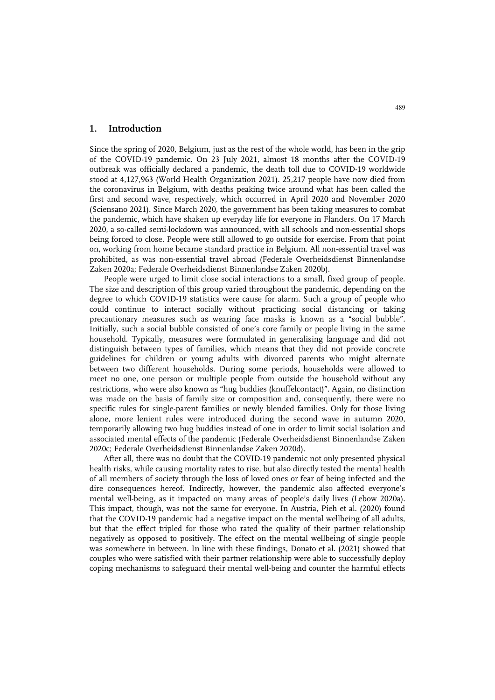#### **1. Introduction**

Since the spring of 2020, Belgium, just as the rest of the whole world, has been in the grip of the COVID-19 pandemic. On 23 July 2021, almost 18 months after the COVID-19 outbreak was officially declared a pandemic, the death toll due to COVID-19 worldwide stood at 4,127,963 (World Health Organization 2021). 25,217 people have now died from the coronavirus in Belgium, with deaths peaking twice around what has been called the first and second wave, respectively, which occurred in April 2020 and November 2020 (Sciensano 2021). Since March 2020, the government has been taking measures to combat the pandemic, which have shaken up everyday life for everyone in Flanders. On 17 March 2020, a so-called semi-lockdown was announced, with all schools and non-essential shops being forced to close. People were still allowed to go outside for exercise. From that point on, working from home became standard practice in Belgium. All non-essential travel was prohibited, as was non-essential travel abroad (Federale Overheidsdienst Binnenlandse Zaken 2020a; Federale Overheidsdienst Binnenlandse Zaken 2020b).

People were urged to limit close social interactions to a small, fixed group of people. The size and description of this group varied throughout the pandemic, depending on the degree to which COVID-19 statistics were cause for alarm. Such a group of people who could continue to interact socially without practicing social distancing or taking precautionary measures such as wearing face masks is known as a "social bubble". Initially, such a social bubble consisted of one's core family or people living in the same household. Typically, measures were formulated in generalising language and did not distinguish between types of families, which means that they did not provide concrete guidelines for children or young adults with divorced parents who might alternate between two different households. During some periods, households were allowed to meet no one, one person or multiple people from outside the household without any restrictions, who were also known as "hug buddies (knuffelcontact)". Again, no distinction was made on the basis of family size or composition and, consequently, there were no specific rules for single-parent families or newly blended families. Only for those living alone, more lenient rules were introduced during the second wave in autumn 2020, temporarily allowing two hug buddies instead of one in order to limit social isolation and associated mental effects of the pandemic (Federale Overheidsdienst Binnenlandse Zaken 2020c; Federale Overheidsdienst Binnenlandse Zaken 2020d).

After all, there was no doubt that the COVID-19 pandemic not only presented physical health risks, while causing mortality rates to rise, but also directly tested the mental health of all members of society through the loss of loved ones or fear of being infected and the dire consequences hereof. Indirectly, however, the pandemic also affected everyone's mental well-being, as it impacted on many areas of people's daily lives (Lebow 2020a). This impact, though, was not the same for everyone. In Austria, Pieh et al. (2020) found that the COVID-19 pandemic had a negative impact on the mental wellbeing of all adults, but that the effect tripled for those who rated the quality of their partner relationship negatively as opposed to positively. The effect on the mental wellbeing of single people was somewhere in between. In line with these findings, Donato et al. (2021) showed that couples who were satisfied with their partner relationship were able to successfully deploy coping mechanisms to safeguard their mental well-being and counter the harmful effects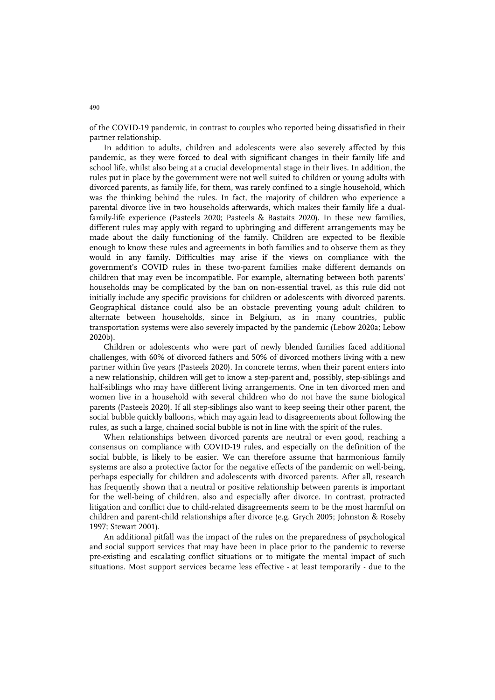of the COVID-19 pandemic, in contrast to couples who reported being dissatisfied in their partner relationship.

In addition to adults, children and adolescents were also severely affected by this pandemic, as they were forced to deal with significant changes in their family life and school life, whilst also being at a crucial developmental stage in their lives. In addition, the rules put in place by the government were not well suited to children or young adults with divorced parents, as family life, for them, was rarely confined to a single household, which was the thinking behind the rules. In fact, the majority of children who experience a parental divorce live in two households afterwards, which makes their family life a dualfamily-life experience (Pasteels 2020; Pasteels & Bastaits 2020). In these new families, different rules may apply with regard to upbringing and different arrangements may be made about the daily functioning of the family. Children are expected to be flexible enough to know these rules and agreements in both families and to observe them as they would in any family. Difficulties may arise if the views on compliance with the government's COVID rules in these two-parent families make different demands on children that may even be incompatible. For example, alternating between both parents' households may be complicated by the ban on non-essential travel, as this rule did not initially include any specific provisions for children or adolescents with divorced parents. Geographical distance could also be an obstacle preventing young adult children to alternate between households, since in Belgium, as in many countries, public transportation systems were also severely impacted by the pandemic (Lebow 2020a; Lebow 2020b).

Children or adolescents who were part of newly blended families faced additional challenges, with 60% of divorced fathers and 50% of divorced mothers living with a new partner within five years (Pasteels 2020). In concrete terms, when their parent enters into a new relationship, children will get to know a step-parent and, possibly, step-siblings and half-siblings who may have different living arrangements. One in ten divorced men and women live in a household with several children who do not have the same biological parents (Pasteels 2020). If all step-siblings also want to keep seeing their other parent, the social bubble quickly balloons, which may again lead to disagreements about following the rules, as such a large, chained social bubble is not in line with the spirit of the rules.

When relationships between divorced parents are neutral or even good, reaching a consensus on compliance with COVID-19 rules, and especially on the definition of the social bubble, is likely to be easier. We can therefore assume that harmonious family systems are also a protective factor for the negative effects of the pandemic on well-being, perhaps especially for children and adolescents with divorced parents. After all, research has frequently shown that a neutral or positive relationship between parents is important for the well-being of children, also and especially after divorce. In contrast, protracted litigation and conflict due to child-related disagreements seem to be the most harmful on children and parent-child relationships after divorce (e.g. Grych 2005; Johnston & Roseby 1997; Stewart 2001).

An additional pitfall was the impact of the rules on the preparedness of psychological and social support services that may have been in place prior to the pandemic to reverse pre-existing and escalating conflict situations or to mitigate the mental impact of such situations. Most support services became less effective - at least temporarily - due to the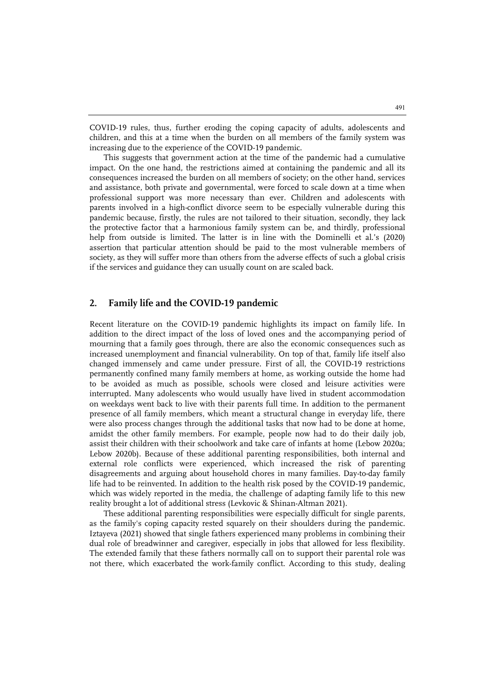COVID-19 rules, thus, further eroding the coping capacity of adults, adolescents and children, and this at a time when the burden on all members of the family system was increasing due to the experience of the COVID-19 pandemic.

This suggests that government action at the time of the pandemic had a cumulative impact. On the one hand, the restrictions aimed at containing the pandemic and all its consequences increased the burden on all members of society; on the other hand, services and assistance, both private and governmental, were forced to scale down at a time when professional support was more necessary than ever. Children and adolescents with parents involved in a high-conflict divorce seem to be especially vulnerable during this pandemic because, firstly, the rules are not tailored to their situation, secondly, they lack the protective factor that a harmonious family system can be, and thirdly, professional help from outside is limited. The latter is in line with the Dominelli et al.'s (2020) assertion that particular attention should be paid to the most vulnerable members of society, as they will suffer more than others from the adverse effects of such a global crisis if the services and guidance they can usually count on are scaled back.

#### **2. Family life and the COVID-19 pandemic**

Recent literature on the COVID-19 pandemic highlights its impact on family life. In addition to the direct impact of the loss of loved ones and the accompanying period of mourning that a family goes through, there are also the economic consequences such as increased unemployment and financial vulnerability. On top of that, family life itself also changed immensely and came under pressure. First of all, the COVID-19 restrictions permanently confined many family members at home, as working outside the home had to be avoided as much as possible, schools were closed and leisure activities were interrupted. Many adolescents who would usually have lived in student accommodation on weekdays went back to live with their parents full time. In addition to the permanent presence of all family members, which meant a structural change in everyday life, there were also process changes through the additional tasks that now had to be done at home, amidst the other family members. For example, people now had to do their daily job, assist their children with their schoolwork and take care of infants at home (Lebow 2020a; Lebow 2020b). Because of these additional parenting responsibilities, both internal and external role conflicts were experienced, which increased the risk of parenting disagreements and arguing about household chores in many families. Day-to-day family life had to be reinvented. In addition to the health risk posed by the COVID-19 pandemic, which was widely reported in the media, the challenge of adapting family life to this new reality brought a lot of additional stress (Levkovic & Shinan-Altman 2021).

These additional parenting responsibilities were especially difficult for single parents, as the family's coping capacity rested squarely on their shoulders during the pandemic. Iztayeva (2021) showed that single fathers experienced many problems in combining their dual role of breadwinner and caregiver, especially in jobs that allowed for less flexibility. The extended family that these fathers normally call on to support their parental role was not there, which exacerbated the work-family conflict. According to this study, dealing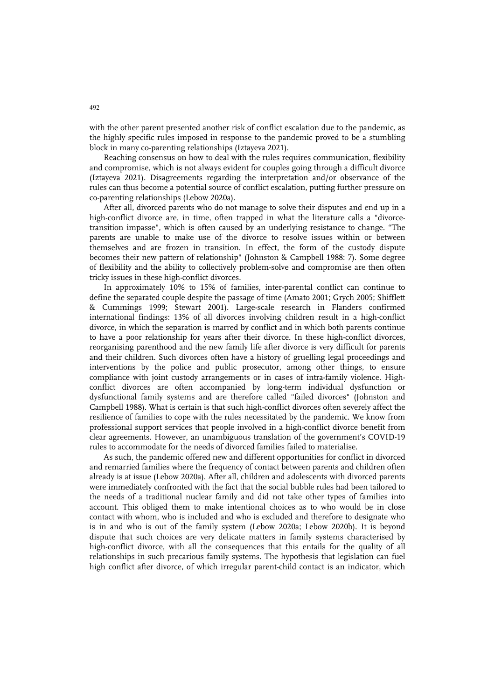with the other parent presented another risk of conflict escalation due to the pandemic, as the highly specific rules imposed in response to the pandemic proved to be a stumbling block in many co-parenting relationships (Iztayeva 2021).

Reaching consensus on how to deal with the rules requires communication, flexibility and compromise, which is not always evident for couples going through a difficult divorce (Iztayeva 2021). Disagreements regarding the interpretation and/or observance of the rules can thus become a potential source of conflict escalation, putting further pressure on co-parenting relationships (Lebow 2020a).

After all, divorced parents who do not manage to solve their disputes and end up in a high-conflict divorce are, in time, often trapped in what the literature calls a "divorcetransition impasse", which is often caused by an underlying resistance to change. "The parents are unable to make use of the divorce to resolve issues within or between themselves and are frozen in transition. In effect, the form of the custody dispute becomes their new pattern of relationship" (Johnston & Campbell 1988: 7). Some degree of flexibility and the ability to collectively problem-solve and compromise are then often tricky issues in these high-conflict divorces.

In approximately 10% to 15% of families, inter-parental conflict can continue to define the separated couple despite the passage of time (Amato 2001; Grych 2005; Shifflett & Cummings 1999; Stewart 2001). Large-scale research in Flanders confirmed international findings: 13% of all divorces involving children result in a high-conflict divorce, in which the separation is marred by conflict and in which both parents continue to have a poor relationship for years after their divorce. In these high-conflict divorces, reorganising parenthood and the new family life after divorce is very difficult for parents and their children. Such divorces often have a history of gruelling legal proceedings and interventions by the police and public prosecutor, among other things, to ensure compliance with joint custody arrangements or in cases of intra-family violence. Highconflict divorces are often accompanied by long-term individual dysfunction or dysfunctional family systems and are therefore called "failed divorces" (Johnston and Campbell 1988). What is certain is that such high-conflict divorces often severely affect the resilience of families to cope with the rules necessitated by the pandemic. We know from professional support services that people involved in a high-conflict divorce benefit from clear agreements. However, an unambiguous translation of the government's COVID-19 rules to accommodate for the needs of divorced families failed to materialise.

As such, the pandemic offered new and different opportunities for conflict in divorced and remarried families where the frequency of contact between parents and children often already is at issue (Lebow 2020a). After all, children and adolescents with divorced parents were immediately confronted with the fact that the social bubble rules had been tailored to the needs of a traditional nuclear family and did not take other types of families into account. This obliged them to make intentional choices as to who would be in close contact with whom, who is included and who is excluded and therefore to designate who is in and who is out of the family system (Lebow 2020a; Lebow 2020b). It is beyond dispute that such choices are very delicate matters in family systems characterised by high-conflict divorce, with all the consequences that this entails for the quality of all relationships in such precarious family systems. The hypothesis that legislation can fuel high conflict after divorce, of which irregular parent-child contact is an indicator, which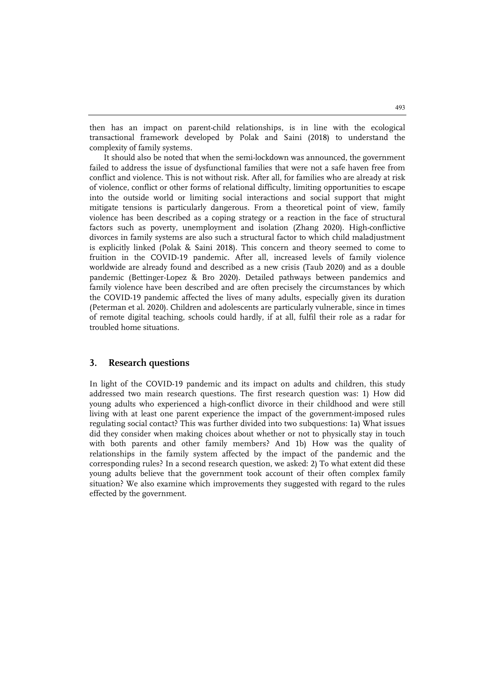then has an impact on parent-child relationships, is in line with the ecological transactional framework developed by Polak and Saini (2018) to understand the complexity of family systems.

It should also be noted that when the semi-lockdown was announced, the government failed to address the issue of dysfunctional families that were not a safe haven free from conflict and violence. This is not without risk. After all, for families who are already at risk of violence, conflict or other forms of relational difficulty, limiting opportunities to escape into the outside world or limiting social interactions and social support that might mitigate tensions is particularly dangerous. From a theoretical point of view, family violence has been described as a coping strategy or a reaction in the face of structural factors such as poverty, unemployment and isolation (Zhang 2020). High-conflictive divorces in family systems are also such a structural factor to which child maladjustment is explicitly linked (Polak & Saini 2018). This concern and theory seemed to come to fruition in the COVID-19 pandemic. After all, increased levels of family violence worldwide are already found and described as a new crisis (Taub 2020) and as a double pandemic (Bettinger-Lopez & Bro 2020). Detailed pathways between pandemics and family violence have been described and are often precisely the circumstances by which the COVID-19 pandemic affected the lives of many adults, especially given its duration (Peterman et al. 2020). Children and adolescents are particularly vulnerable, since in times of remote digital teaching, schools could hardly, if at all, fulfil their role as a radar for troubled home situations.

#### **3. Research questions**

In light of the COVID-19 pandemic and its impact on adults and children, this study addressed two main research questions. The first research question was: 1) How did young adults who experienced a high-conflict divorce in their childhood and were still living with at least one parent experience the impact of the government-imposed rules regulating social contact? This was further divided into two subquestions: 1a) What issues did they consider when making choices about whether or not to physically stay in touch with both parents and other family members? And 1b) How was the quality of relationships in the family system affected by the impact of the pandemic and the corresponding rules? In a second research question, we asked: 2) To what extent did these young adults believe that the government took account of their often complex family situation? We also examine which improvements they suggested with regard to the rules effected by the government.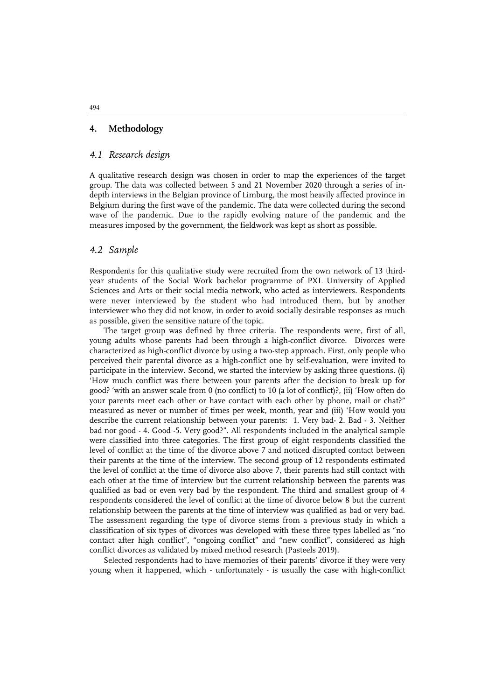#### **4. Methodology**

#### *4.1 Research design*

A qualitative research design was chosen in order to map the experiences of the target group. The data was collected between 5 and 21 November 2020 through a series of indepth interviews in the Belgian province of Limburg, the most heavily affected province in Belgium during the first wave of the pandemic. The data were collected during the second wave of the pandemic. Due to the rapidly evolving nature of the pandemic and the measures imposed by the government, the fieldwork was kept as short as possible.

#### *4.2 Sample*

Respondents for this qualitative study were recruited from the own network of 13 thirdyear students of the Social Work bachelor programme of PXL University of Applied Sciences and Arts or their social media network, who acted as interviewers. Respondents were never interviewed by the student who had introduced them, but by another interviewer who they did not know, in order to avoid socially desirable responses as much as possible, given the sensitive nature of the topic.

The target group was defined by three criteria. The respondents were, first of all, young adults whose parents had been through a high-conflict divorce. Divorces were characterized as high-conflict divorce by using a two-step approach. First, only people who perceived their parental divorce as a high-conflict one by self-evaluation, were invited to participate in the interview. Second, we started the interview by asking three questions. (i) 'How much conflict was there between your parents after the decision to break up for good? 'with an answer scale from 0 (no conflict) to 10 (a lot of conflict)?, (ii) 'How often do your parents meet each other or have contact with each other by phone, mail or chat?" measured as never or number of times per week, month, year and (iii) 'How would you describe the current relationship between your parents: 1. Very bad- 2. Bad - 3. Neither bad nor good - 4. Good -5. Very good?". All respondents included in the analytical sample were classified into three categories. The first group of eight respondents classified the level of conflict at the time of the divorce above 7 and noticed disrupted contact between their parents at the time of the interview. The second group of 12 respondents estimated the level of conflict at the time of divorce also above 7, their parents had still contact with each other at the time of interview but the current relationship between the parents was qualified as bad or even very bad by the respondent. The third and smallest group of 4 respondents considered the level of conflict at the time of divorce below 8 but the current relationship between the parents at the time of interview was qualified as bad or very bad. The assessment regarding the type of divorce stems from a previous study in which a classification of six types of divorces was developed with these three types labelled as "no contact after high conflict", "ongoing conflict" and "new conflict", considered as high conflict divorces as validated by mixed method research (Pasteels 2019).

Selected respondents had to have memories of their parents' divorce if they were very young when it happened, which - unfortunately - is usually the case with high-conflict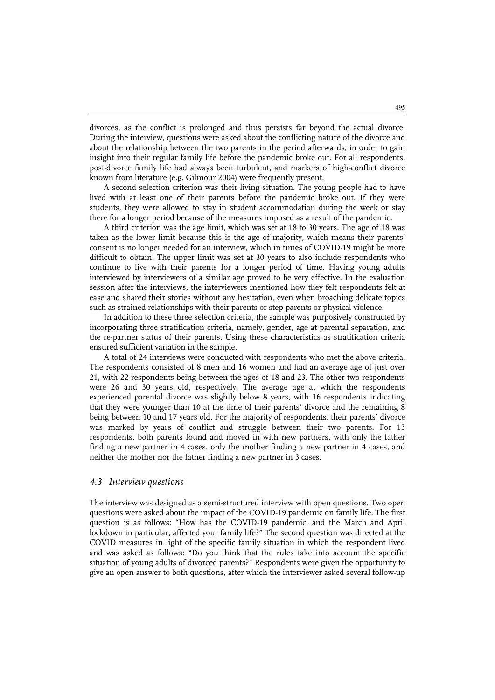divorces, as the conflict is prolonged and thus persists far beyond the actual divorce. During the interview, questions were asked about the conflicting nature of the divorce and about the relationship between the two parents in the period afterwards, in order to gain insight into their regular family life before the pandemic broke out. For all respondents, post-divorce family life had always been turbulent, and markers of high-conflict divorce known from literature (e.g. Gilmour 2004) were frequently present.

A second selection criterion was their living situation. The young people had to have lived with at least one of their parents before the pandemic broke out. If they were students, they were allowed to stay in student accommodation during the week or stay there for a longer period because of the measures imposed as a result of the pandemic.

A third criterion was the age limit, which was set at 18 to 30 years. The age of 18 was taken as the lower limit because this is the age of majority, which means their parents' consent is no longer needed for an interview, which in times of COVID-19 might be more difficult to obtain. The upper limit was set at 30 years to also include respondents who continue to live with their parents for a longer period of time. Having young adults interviewed by interviewers of a similar age proved to be very effective. In the evaluation session after the interviews, the interviewers mentioned how they felt respondents felt at ease and shared their stories without any hesitation, even when broaching delicate topics such as strained relationships with their parents or step-parents or physical violence.

In addition to these three selection criteria, the sample was purposively constructed by incorporating three stratification criteria, namely, gender, age at parental separation, and the re-partner status of their parents. Using these characteristics as stratification criteria ensured sufficient variation in the sample.

A total of 24 interviews were conducted with respondents who met the above criteria. The respondents consisted of 8 men and 16 women and had an average age of just over 21, with 22 respondents being between the ages of 18 and 23. The other two respondents were 26 and 30 years old, respectively. The average age at which the respondents experienced parental divorce was slightly below 8 years, with 16 respondents indicating that they were younger than 10 at the time of their parents' divorce and the remaining 8 being between 10 and 17 years old. For the majority of respondents, their parents' divorce was marked by years of conflict and struggle between their two parents. For 13 respondents, both parents found and moved in with new partners, with only the father finding a new partner in 4 cases, only the mother finding a new partner in 4 cases, and neither the mother nor the father finding a new partner in 3 cases.

#### *4.3 Interview questions*

The interview was designed as a semi-structured interview with open questions. Two open questions were asked about the impact of the COVID-19 pandemic on family life. The first question is as follows: "How has the COVID-19 pandemic, and the March and April lockdown in particular, affected your family life?" The second question was directed at the COVID measures in light of the specific family situation in which the respondent lived and was asked as follows: "Do you think that the rules take into account the specific situation of young adults of divorced parents?" Respondents were given the opportunity to give an open answer to both questions, after which the interviewer asked several follow-up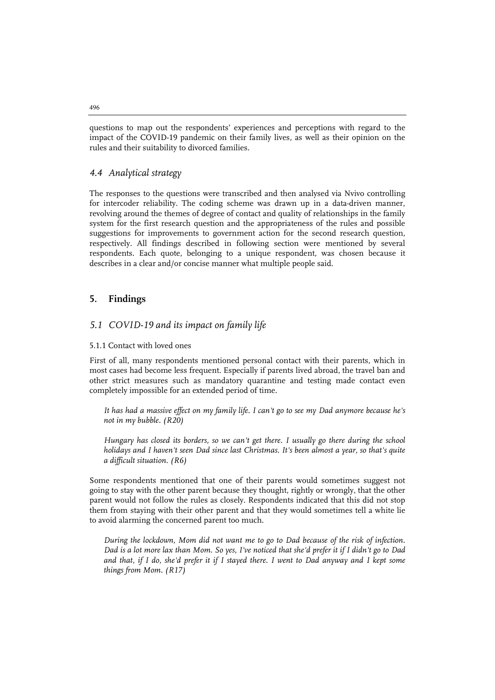questions to map out the respondents' experiences and perceptions with regard to the impact of the COVID-19 pandemic on their family lives, as well as their opinion on the rules and their suitability to divorced families.

#### *4.4 Analytical strategy*

The responses to the questions were transcribed and then analysed via Nvivo controlling for intercoder reliability. The coding scheme was drawn up in a data-driven manner, revolving around the themes of degree of contact and quality of relationships in the family system for the first research question and the appropriateness of the rules and possible suggestions for improvements to government action for the second research question, respectively. All findings described in following section were mentioned by several respondents. Each quote, belonging to a unique respondent, was chosen because it describes in a clear and/or concise manner what multiple people said.

#### **5. Findings**

#### *5.1 COVID-19 and its impact on family life*

#### 5.1.1 Contact with loved ones

First of all, many respondents mentioned personal contact with their parents, which in most cases had become less frequent. Especially if parents lived abroad, the travel ban and other strict measures such as mandatory quarantine and testing made contact even completely impossible for an extended period of time.

*It has had a massive effect on my family life. I can't go to see my Dad anymore because he's not in my bubble. (R20)*

*Hungary has closed its borders, so we can't get there. I usually go there during the school holidays and I haven't seen Dad since last Christmas. It's been almost a year, so that's quite a difficult situation. (R6)*

Some respondents mentioned that one of their parents would sometimes suggest not going to stay with the other parent because they thought, rightly or wrongly, that the other parent would not follow the rules as closely. Respondents indicated that this did not stop them from staying with their other parent and that they would sometimes tell a white lie to avoid alarming the concerned parent too much.

*During the lockdown, Mom did not want me to go to Dad because of the risk of infection. Dad is a lot more lax than Mom. So yes, I've noticed that she'd prefer it if I didn't go to Dad*  and that, if I do, she'd prefer it if I stayed there. I went to Dad anyway and I kept some *things from Mom. (R17)*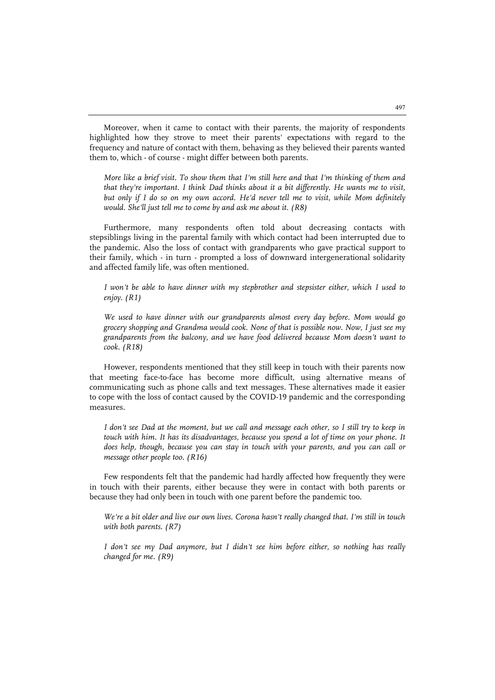Moreover, when it came to contact with their parents, the majority of respondents highlighted how they strove to meet their parents' expectations with regard to the frequency and nature of contact with them, behaving as they believed their parents wanted them to, which - of course - might differ between both parents.

*More like a brief visit. To show them that I'm still here and that I'm thinking of them and that they're important. I think Dad thinks about it a bit differently. He wants me to visit, but only if I do so on my own accord. He'd never tell me to visit, while Mom definitely would. She'll just tell me to come by and ask me about it. (R8)*

Furthermore, many respondents often told about decreasing contacts with stepsiblings living in the parental family with which contact had been interrupted due to the pandemic. Also the loss of contact with grandparents who gave practical support to their family, which - in turn - prompted a loss of downward intergenerational solidarity and affected family life, was often mentioned.

*I won't be able to have dinner with my stepbrother and stepsister either, which I used to enjoy. (R1)*

*We used to have dinner with our grandparents almost every day before. Mom would go grocery shopping and Grandma would cook. None of that is possible now. Now, I just see my grandparents from the balcony, and we have food delivered because Mom doesn't want to cook. (R18)*

However, respondents mentioned that they still keep in touch with their parents now that meeting face-to-face has become more difficult, using alternative means of communicating such as phone calls and text messages. These alternatives made it easier to cope with the loss of contact caused by the COVID-19 pandemic and the corresponding measures.

*I don't see Dad at the moment, but we call and message each other, so I still try to keep in*  touch with him. It has its disadvantages, because you spend a lot of time on your phone. It *does help, though, because you can stay in touch with your parents, and you can call or message other people too. (R16)*

Few respondents felt that the pandemic had hardly affected how frequently they were in touch with their parents, either because they were in contact with both parents or because they had only been in touch with one parent before the pandemic too.

*We're a bit older and live our own lives. Corona hasn't really changed that. I'm still in touch with both parents. (R7)*

*I don't see my Dad anymore, but I didn't see him before either, so nothing has really changed for me. (R9)*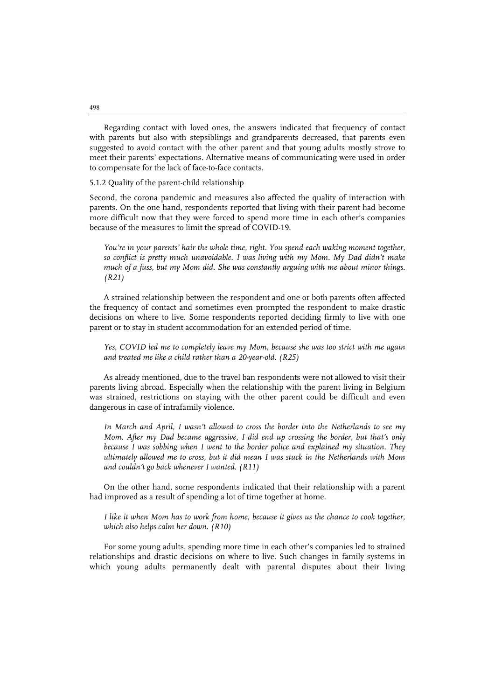Regarding contact with loved ones, the answers indicated that frequency of contact with parents but also with stepsiblings and grandparents decreased, that parents even suggested to avoid contact with the other parent and that young adults mostly strove to meet their parents' expectations. Alternative means of communicating were used in order to compensate for the lack of face-to-face contacts.

5.1.2 Quality of the parent-child relationship

Second, the corona pandemic and measures also affected the quality of interaction with parents. On the one hand, respondents reported that living with their parent had become more difficult now that they were forced to spend more time in each other's companies because of the measures to limit the spread of COVID-19.

*You're in your parents' hair the whole time, right. You spend each waking moment together, so conflict is pretty much unavoidable. I was living with my Mom. My Dad didn't make much of a fuss, but my Mom did. She was constantly arguing with me about minor things. (R21)*

A strained relationship between the respondent and one or both parents often affected the frequency of contact and sometimes even prompted the respondent to make drastic decisions on where to live. Some respondents reported deciding firmly to live with one parent or to stay in student accommodation for an extended period of time.

*Yes, COVID led me to completely leave my Mom, because she was too strict with me again and treated me like a child rather than a 20-year-old. (R25)*

As already mentioned, due to the travel ban respondents were not allowed to visit their parents living abroad. Especially when the relationship with the parent living in Belgium was strained, restrictions on staying with the other parent could be difficult and even dangerous in case of intrafamily violence.

*In March and April, I wasn't allowed to cross the border into the Netherlands to see my Mom. After my Dad became aggressive, I did end up crossing the border, but that's only because I was sobbing when I went to the border police and explained my situation. They ultimately allowed me to cross, but it did mean I was stuck in the Netherlands with Mom and couldn't go back whenever I wanted. (R11)*

On the other hand, some respondents indicated that their relationship with a parent had improved as a result of spending a lot of time together at home.

*I like it when Mom has to work from home, because it gives us the chance to cook together, which also helps calm her down. (R10)*

For some young adults, spending more time in each other's companies led to strained relationships and drastic decisions on where to live. Such changes in family systems in which young adults permanently dealt with parental disputes about their living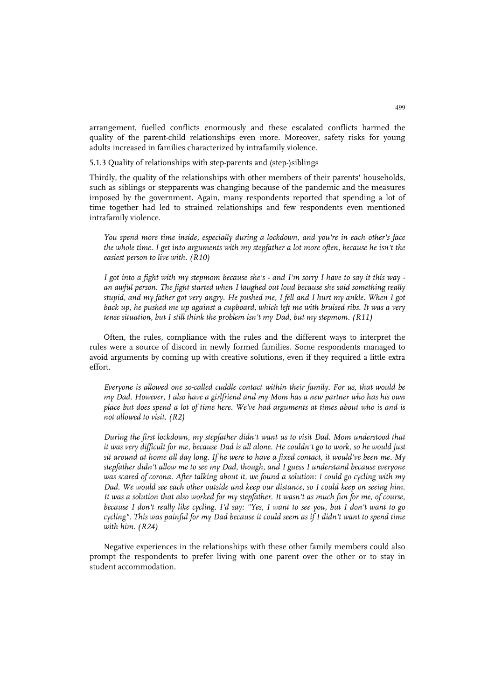arrangement, fuelled conflicts enormously and these escalated conflicts harmed the quality of the parent-child relationships even more. Moreover, safety risks for young adults increased in families characterized by intrafamily violence.

5.1.3 Quality of relationships with step-parents and (step-)siblings

Thirdly, the quality of the relationships with other members of their parents' households, such as siblings or stepparents was changing because of the pandemic and the measures imposed by the government. Again, many respondents reported that spending a lot of time together had led to strained relationships and few respondents even mentioned intrafamily violence.

*You spend more time inside, especially during a lockdown, and you're in each other's face the whole time. I get into arguments with my stepfather a lot more often, because he isn't the easiest person to live with. (R10)*

*I got into a fight with my stepmom because she's - and I'm sorry I have to say it this way an awful person. The fight started when I laughed out loud because she said something really stupid, and my father got very angry. He pushed me, I fell and I hurt my ankle. When I got back up, he pushed me up against a cupboard, which left me with bruised ribs. It was a very tense situation, but I still think the problem isn't my Dad, but my stepmom. (R11)*

Often, the rules, compliance with the rules and the different ways to interpret the rules were a source of discord in newly formed families. Some respondents managed to avoid arguments by coming up with creative solutions, even if they required a little extra effort.

*Everyone is allowed one so-called cuddle contact within their family. For us, that would be my Dad. However, I also have a girlfriend and my Mom has a new partner who has his own place but does spend a lot of time here. We've had arguments at times about who is and is not allowed to visit. (R2)*

*During the first lockdown, my stepfather didn't want us to visit Dad. Mom understood that it was very difficult for me, because Dad is all alone. He couldn't go to work, so he would just sit around at home all day long. If he were to have a fixed contact, it would've been me. My stepfather didn't allow me to see my Dad, though, and I guess I understand because everyone was scared of corona. After talking about it, we found a solution: I could go cycling with my Dad. We would see each other outside and keep our distance, so I could keep on seeing him.*  It was a solution that also worked for my stepfather. It wasn't as much fun for me, of course, *because I don't really like cycling. I'd say: "Yes, I want to see you, but I don't want to go cycling". This was painful for my Dad because it could seem as if I didn't want to spend time with him. (R24)*

Negative experiences in the relationships with these other family members could also prompt the respondents to prefer living with one parent over the other or to stay in student accommodation.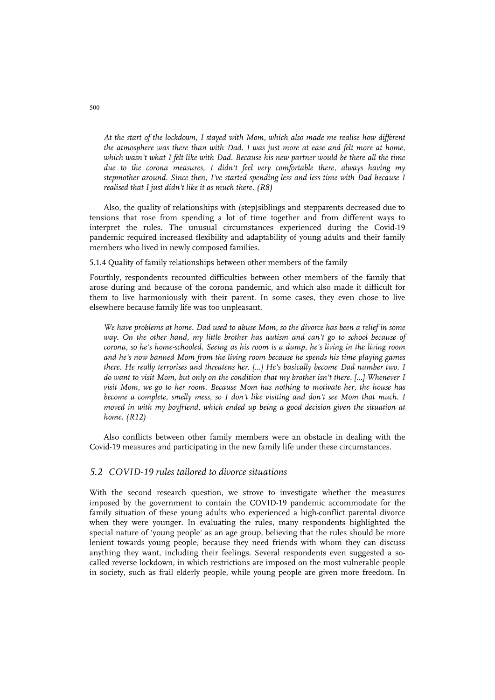*At the start of the lockdown, I stayed with Mom, which also made me realise how different the atmosphere was there than with Dad. I was just more at ease and felt more at home,*  which wasn't what I felt like with Dad. Because his new partner would be there all the time *due to the corona measures, I didn't feel very comfortable there, always having my stepmother around. Since then, I've started spending less and less time with Dad because I realised that I just didn't like it as much there. (R8)*

Also, the quality of relationships with (step)siblings and stepparents decreased due to tensions that rose from spending a lot of time together and from different ways to interpret the rules. The unusual circumstances experienced during the Covid-19 pandemic required increased flexibility and adaptability of young adults and their family members who lived in newly composed families.

5.1.4 Quality of family relationships between other members of the family

Fourthly, respondents recounted difficulties between other members of the family that arose during and because of the corona pandemic, and which also made it difficult for them to live harmoniously with their parent. In some cases, they even chose to live elsewhere because family life was too unpleasant.

*We have problems at home. Dad used to abuse Mom, so the divorce has been a relief in some*  way. On the other hand, my little brother has autism and can't go to school because of *corona, so he's home-schooled. Seeing as his room is a dump, he's living in the living room and he's now banned Mom from the living room because he spends his time playing games there. He really terrorises and threatens her. […] He's basically become Dad number two. I do want to visit Mom, but only on the condition that my brother isn't there. […] Whenever I visit Mom, we go to her room. Because Mom has nothing to motivate her, the house has become a complete, smelly mess, so I don't like visiting and don't see Mom that much. I moved in with my boyfriend, which ended up being a good decision given the situation at home. (R12)*

Also conflicts between other family members were an obstacle in dealing with the Covid-19 measures and participating in the new family life under these circumstances.

#### *5.2 COVID-19 rules tailored to divorce situations*

With the second research question, we strove to investigate whether the measures imposed by the government to contain the COVID-19 pandemic accommodate for the family situation of these young adults who experienced a high-conflict parental divorce when they were younger. In evaluating the rules, many respondents highlighted the special nature of 'young people' as an age group, believing that the rules should be more lenient towards young people, because they need friends with whom they can discuss anything they want, including their feelings. Several respondents even suggested a socalled reverse lockdown, in which restrictions are imposed on the most vulnerable people in society, such as frail elderly people, while young people are given more freedom. In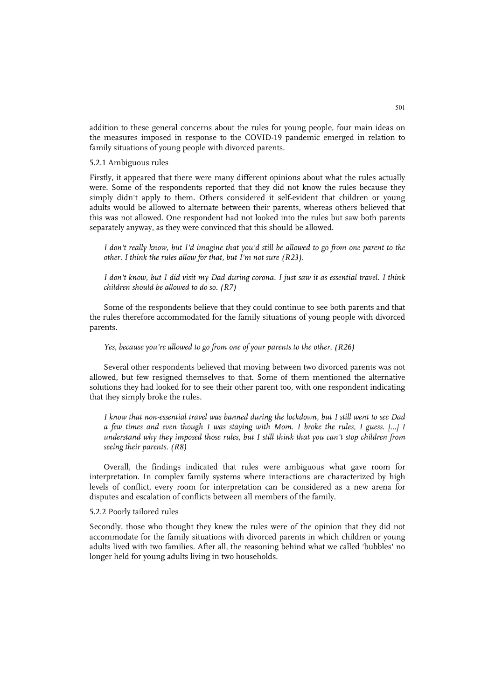addition to these general concerns about the rules for young people, four main ideas on the measures imposed in response to the COVID-19 pandemic emerged in relation to family situations of young people with divorced parents.

#### 5.2.1 Ambiguous rules

Firstly, it appeared that there were many different opinions about what the rules actually were. Some of the respondents reported that they did not know the rules because they simply didn't apply to them. Others considered it self-evident that children or young adults would be allowed to alternate between their parents, whereas others believed that this was not allowed. One respondent had not looked into the rules but saw both parents separately anyway, as they were convinced that this should be allowed.

*I don't really know, but I'd imagine that you'd still be allowed to go from one parent to the other. I think the rules allow for that, but I'm not sure (R23).*

*I don't know, but I did visit my Dad during corona. I just saw it as essential travel. I think children should be allowed to do so. (R7)*

Some of the respondents believe that they could continue to see both parents and that the rules therefore accommodated for the family situations of young people with divorced parents.

#### *Yes, because you're allowed to go from one of your parents to the other. (R26)*

Several other respondents believed that moving between two divorced parents was not allowed, but few resigned themselves to that. Some of them mentioned the alternative solutions they had looked for to see their other parent too, with one respondent indicating that they simply broke the rules.

*I know that non-essential travel was banned during the lockdown, but I still went to see Dad a few times and even though I was staying with Mom. I broke the rules, I guess. [...] I understand why they imposed those rules, but I still think that you can't stop children from seeing their parents. (R8)*

Overall, the findings indicated that rules were ambiguous what gave room for interpretation. In complex family systems where interactions are characterized by high levels of conflict, every room for interpretation can be considered as a new arena for disputes and escalation of conflicts between all members of the family.

#### 5.2.2 Poorly tailored rules

Secondly, those who thought they knew the rules were of the opinion that they did not accommodate for the family situations with divorced parents in which children or young adults lived with two families. After all, the reasoning behind what we called 'bubbles' no longer held for young adults living in two households.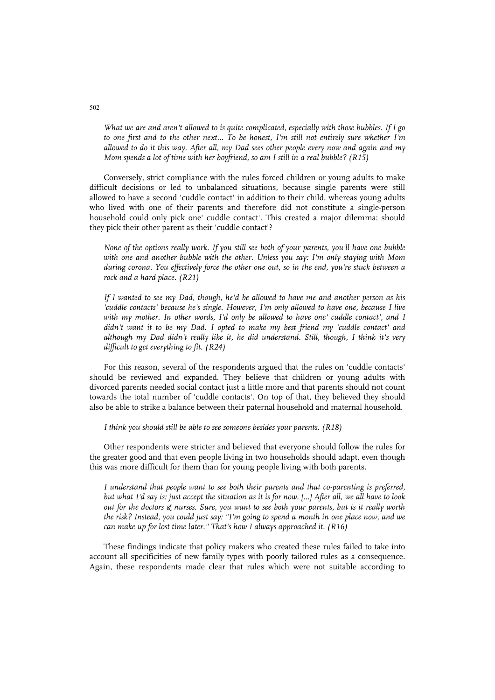*What we are and aren't allowed to is quite complicated, especially with those bubbles. If I go to one first and to the other next... To be honest, I'm still not entirely sure whether I'm allowed to do it this way. After all, my Dad sees other people every now and again and my Mom spends a lot of time with her boyfriend, so am I still in a real bubble? (R15)*

Conversely, strict compliance with the rules forced children or young adults to make difficult decisions or led to unbalanced situations, because single parents were still allowed to have a second 'cuddle contact' in addition to their child, whereas young adults who lived with one of their parents and therefore did not constitute a single-person household could only pick one' cuddle contact'. This created a major dilemma: should they pick their other parent as their 'cuddle contact'?

*None of the options really work. If you still see both of your parents, you'll have one bubble with one and another bubble with the other. Unless you say: I'm only staying with Mom during corona. You effectively force the other one out, so in the end, you're stuck between a rock and a hard place. (R21)*

*If I wanted to see my Dad, though, he'd be allowed to have me and another person as his 'cuddle contacts' because he's single. However, I'm only allowed to have one, because I live with my mother. In other words, I'd only be allowed to have one' cuddle contact', and I didn't want it to be my Dad. I opted to make my best friend my 'cuddle contact' and although my Dad didn't really like it, he did understand. Still, though, I think it's very difficult to get everything to fit. (R24)*

For this reason, several of the respondents argued that the rules on 'cuddle contacts' should be reviewed and expanded. They believe that children or young adults with divorced parents needed social contact just a little more and that parents should not count towards the total number of 'cuddle contacts'. On top of that, they believed they should also be able to strike a balance between their paternal household and maternal household.

*I think you should still be able to see someone besides your parents. (R18)*

Other respondents were stricter and believed that everyone should follow the rules for the greater good and that even people living in two households should adapt, even though this was more difficult for them than for young people living with both parents.

*I understand that people want to see both their parents and that co-parenting is preferred, but what I'd say is: just accept the situation as it is for now. [...] After all, we all have to look out for the doctors & nurses. Sure, you want to see both your parents, but is it really worth the risk? Instead, you could just say: "I'm going to spend a month in one place now, and we can make up for lost time later." That's how I always approached it. (R16)*

These findings indicate that policy makers who created these rules failed to take into account all specificities of new family types with poorly tailored rules as a consequence. Again, these respondents made clear that rules which were not suitable according to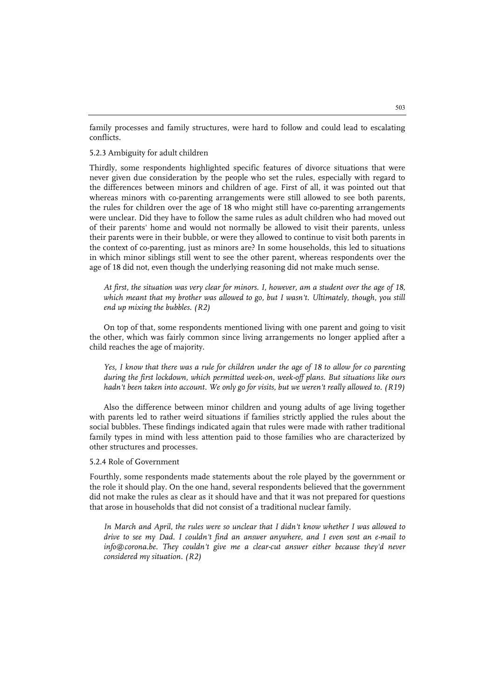family processes and family structures, were hard to follow and could lead to escalating conflicts.

#### 5.2.3 Ambiguity for adult children

Thirdly, some respondents highlighted specific features of divorce situations that were never given due consideration by the people who set the rules, especially with regard to the differences between minors and children of age. First of all, it was pointed out that whereas minors with co-parenting arrangements were still allowed to see both parents, the rules for children over the age of 18 who might still have co-parenting arrangements were unclear. Did they have to follow the same rules as adult children who had moved out of their parents' home and would not normally be allowed to visit their parents, unless their parents were in their bubble, or were they allowed to continue to visit both parents in the context of co-parenting, just as minors are? In some households, this led to situations in which minor siblings still went to see the other parent, whereas respondents over the age of 18 did not, even though the underlying reasoning did not make much sense.

*At first, the situation was very clear for minors. I, however, am a student over the age of 18,*  which meant that my brother was allowed to go, but I wasn't. Ultimately, though, you still *end up mixing the bubbles. (R2)*

On top of that, some respondents mentioned living with one parent and going to visit the other, which was fairly common since living arrangements no longer applied after a child reaches the age of majority.

Yes, I know that there was a rule for children under the age of 18 to allow for co parenting *during the first lockdown, which permitted week-on, week-off plans. But situations like ours hadn't been taken into account. We only go for visits, but we weren't really allowed to. (R19)*

Also the difference between minor children and young adults of age living together with parents led to rather weird situations if families strictly applied the rules about the social bubbles. These findings indicated again that rules were made with rather traditional family types in mind with less attention paid to those families who are characterized by other structures and processes.

#### 5.2.4 Role of Government

Fourthly, some respondents made statements about the role played by the government or the role it should play. On the one hand, several respondents believed that the government did not make the rules as clear as it should have and that it was not prepared for questions that arose in households that did not consist of a traditional nuclear family.

*In March and April, the rules were so unclear that I didn't know whether I was allowed to drive to see my Dad. I couldn't find an answer anywhere, and I even sent an e-mail to info@corona.be. They couldn't give me a clear-cut answer either because they'd never considered my situation. (R2)*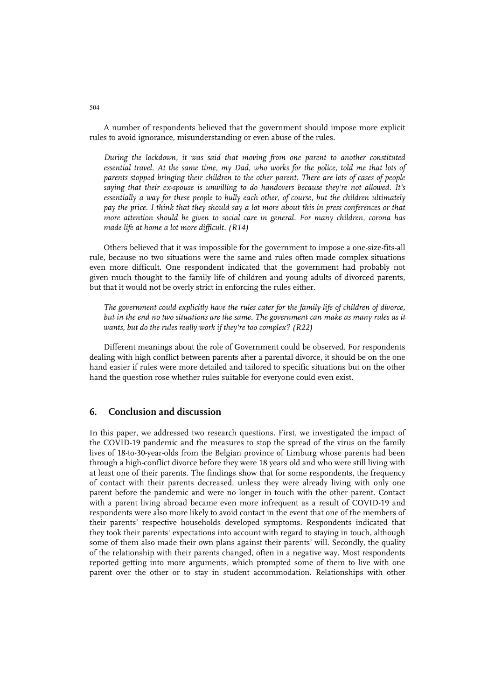A number of respondents believed that the government should impose more explicit rules to avoid ignorance, misunderstanding or even abuse of the rules.

*During the lockdown, it was said that moving from one parent to another constituted essential travel. At the same time, my Dad, who works for the police, told me that lots of parents stopped bringing their children to the other parent. There are lots of cases of people saying that their ex-spouse is unwilling to do handovers because they're not allowed. It's essentially a way for these people to bully each other, of course, but the children ultimately pay the price. I think that they should say a lot more about this in press conferences or that more attention should be given to social care in general. For many children, corona has made life at home a lot more difficult. (R14)*

Others believed that it was impossible for the government to impose a one-size-fits-all rule, because no two situations were the same and rules often made complex situations even more difficult. One respondent indicated that the government had probably not given much thought to the family life of children and young adults of divorced parents, but that it would not be overly strict in enforcing the rules either.

*The government could explicitly have the rules cater for the family life of children of divorce, but in the end no two situations are the same. The government can make as many rules as it wants, but do the rules really work if they're too complex? (R22)*

Different meanings about the role of Government could be observed. For respondents dealing with high conflict between parents after a parental divorce, it should be on the one hand easier if rules were more detailed and tailored to specific situations but on the other hand the question rose whether rules suitable for everyone could even exist.

#### **6. Conclusion and discussion**

In this paper, we addressed two research questions. First, we investigated the impact of the COVID-19 pandemic and the measures to stop the spread of the virus on the family lives of 18-to-30-year-olds from the Belgian province of Limburg whose parents had been through a high-conflict divorce before they were 18 years old and who were still living with at least one of their parents. The findings show that for some respondents, the frequency of contact with their parents decreased, unless they were already living with only one parent before the pandemic and were no longer in touch with the other parent. Contact with a parent living abroad became even more infrequent as a result of COVID-19 and respondents were also more likely to avoid contact in the event that one of the members of their parents' respective households developed symptoms. Respondents indicated that they took their parents' expectations into account with regard to staying in touch, although some of them also made their own plans against their parents' will. Secondly, the quality of the relationship with their parents changed, often in a negative way. Most respondents reported getting into more arguments, which prompted some of them to live with one parent over the other or to stay in student accommodation. Relationships with other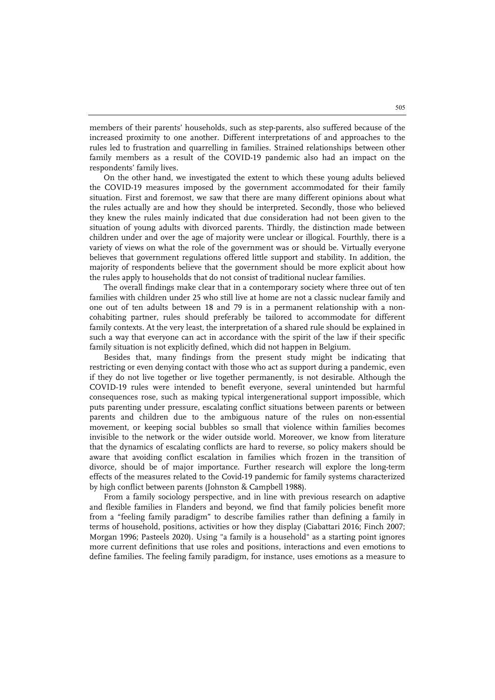members of their parents' households, such as step-parents, also suffered because of the increased proximity to one another. Different interpretations of and approaches to the rules led to frustration and quarrelling in families. Strained relationships between other family members as a result of the COVID-19 pandemic also had an impact on the respondents' family lives.

On the other hand, we investigated the extent to which these young adults believed the COVID-19 measures imposed by the government accommodated for their family situation. First and foremost, we saw that there are many different opinions about what the rules actually are and how they should be interpreted. Secondly, those who believed they knew the rules mainly indicated that due consideration had not been given to the situation of young adults with divorced parents. Thirdly, the distinction made between children under and over the age of majority were unclear or illogical. Fourthly, there is a variety of views on what the role of the government was or should be. Virtually everyone believes that government regulations offered little support and stability. In addition, the majority of respondents believe that the government should be more explicit about how the rules apply to households that do not consist of traditional nuclear families.

The overall findings make clear that in a contemporary society where three out of ten families with children under 25 who still live at home are not a classic nuclear family and one out of ten adults between 18 and 79 is in a permanent relationship with a noncohabiting partner, rules should preferably be tailored to accommodate for different family contexts. At the very least, the interpretation of a shared rule should be explained in such a way that everyone can act in accordance with the spirit of the law if their specific family situation is not explicitly defined, which did not happen in Belgium.

Besides that, many findings from the present study might be indicating that restricting or even denying contact with those who act as support during a pandemic, even if they do not live together or live together permanently, is not desirable. Although the COVID-19 rules were intended to benefit everyone, several unintended but harmful consequences rose, such as making typical intergenerational support impossible, which puts parenting under pressure, escalating conflict situations between parents or between parents and children due to the ambiguous nature of the rules on non-essential movement, or keeping social bubbles so small that violence within families becomes invisible to the network or the wider outside world. Moreover, we know from literature that the dynamics of escalating conflicts are hard to reverse, so policy makers should be aware that avoiding conflict escalation in families which frozen in the transition of divorce, should be of major importance. Further research will explore the long-term effects of the measures related to the Covid-19 pandemic for family systems characterized by high conflict between parents (Johnston & Campbell 1988).

From a family sociology perspective, and in line with previous research on adaptive and flexible families in Flanders and beyond, we find that family policies benefit more from a "feeling family paradigm" to describe families rather than defining a family in terms of household, positions, activities or how they display (Ciabattari 2016; Finch 2007; Morgan 1996; Pasteels 2020). Using "a family is a household" as a starting point ignores more current definitions that use roles and positions, interactions and even emotions to define families. The feeling family paradigm, for instance, uses emotions as a measure to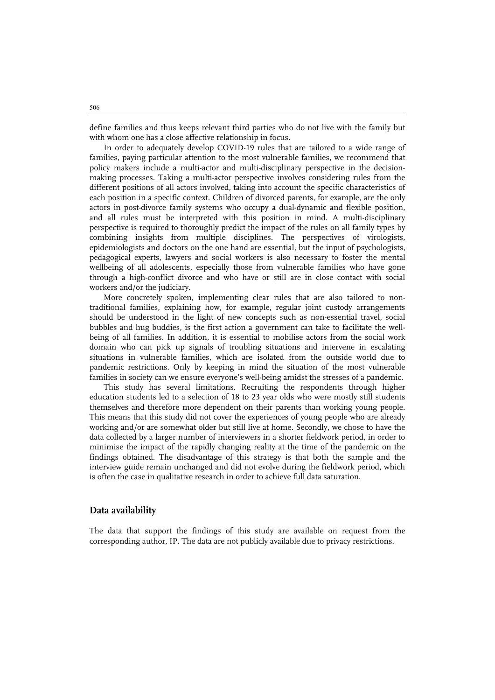define families and thus keeps relevant third parties who do not live with the family but with whom one has a close affective relationship in focus.

In order to adequately develop COVID-19 rules that are tailored to a wide range of families, paying particular attention to the most vulnerable families, we recommend that policy makers include a multi-actor and multi-disciplinary perspective in the decisionmaking processes. Taking a multi-actor perspective involves considering rules from the different positions of all actors involved, taking into account the specific characteristics of each position in a specific context. Children of divorced parents, for example, are the only actors in post-divorce family systems who occupy a dual-dynamic and flexible position, and all rules must be interpreted with this position in mind. A multi-disciplinary perspective is required to thoroughly predict the impact of the rules on all family types by combining insights from multiple disciplines. The perspectives of virologists, epidemiologists and doctors on the one hand are essential, but the input of psychologists, pedagogical experts, lawyers and social workers is also necessary to foster the mental wellbeing of all adolescents, especially those from vulnerable families who have gone through a high-conflict divorce and who have or still are in close contact with social workers and/or the judiciary.

More concretely spoken, implementing clear rules that are also tailored to nontraditional families, explaining how, for example, regular joint custody arrangements should be understood in the light of new concepts such as non-essential travel, social bubbles and hug buddies, is the first action a government can take to facilitate the wellbeing of all families. In addition, it is essential to mobilise actors from the social work domain who can pick up signals of troubling situations and intervene in escalating situations in vulnerable families, which are isolated from the outside world due to pandemic restrictions. Only by keeping in mind the situation of the most vulnerable families in society can we ensure everyone's well-being amidst the stresses of a pandemic.

This study has several limitations. Recruiting the respondents through higher education students led to a selection of 18 to 23 year olds who were mostly still students themselves and therefore more dependent on their parents than working young people. This means that this study did not cover the experiences of young people who are already working and/or are somewhat older but still live at home. Secondly, we chose to have the data collected by a larger number of interviewers in a shorter fieldwork period, in order to minimise the impact of the rapidly changing reality at the time of the pandemic on the findings obtained. The disadvantage of this strategy is that both the sample and the interview guide remain unchanged and did not evolve during the fieldwork period, which is often the case in qualitative research in order to achieve full data saturation.

#### **Data availability**

The data that support the findings of this study are available on request from the corresponding author, IP. The data are not publicly available due to privacy restrictions.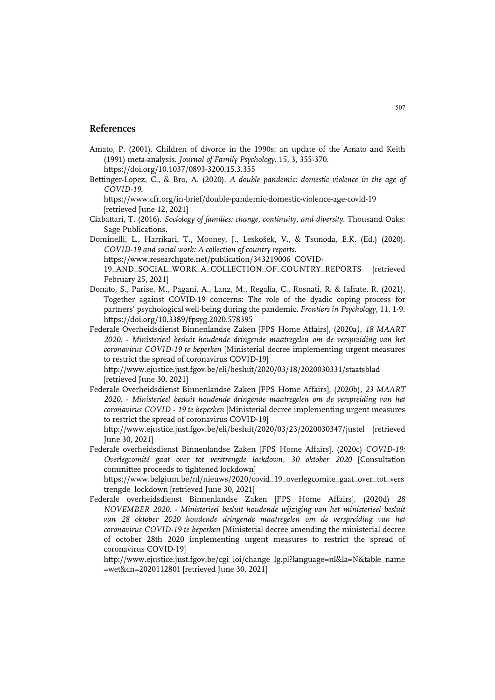#### **References**

- Amato, P. (2001). Children of divorce in the 1990s: an update of the Amato and Keith (1991) meta-analysis. *Journal of Family Psychology*. 15, 3, 355-370. https://doi.org/10.1037/0893-3200.15.3.355
- Bettinger-Lopez, C., & Bro, A. (2020). *A double pandemic: domestic violence in the age of COVID-19*.

https://www.cfr.org/in-brief/double-pandemic-domestic-violence-age-covid-19 [retrieved June 12, 2021]

- Ciabattari, T. (2016). *Sociology of families: change, continuity, and diversity*. Thousand Oaks: Sage Publications.
- Dominelli, L., Harrikari, T., Mooney, J., Leskošek, V., & Tsunoda, E.K. (Ed.) (2020). *COVID-19 and social work: A collection of country reports*. https://www.researchgate.net/publication/343219006\_COVID-
	- 19\_AND\_SOCIAL\_WORK\_A\_COLLECTION\_OF\_COUNTRY\_REPORTS [retrieved
	- February 25, 2021]
- Donato, S., Parise, M., Pagani, A., Lanz, M., Regalia, C., Rosnati, R. & Iafrate, R. (2021). Together against COVID-19 concerns: The role of the dyadic coping process for partners' psychological well-being during the pandemic. *Frontiers in Psychology*, 11, 1-9. https://doi.org/10.3389/fpsyg.2020.578395
- Federale Overheidsdienst Binnenlandse Zaken [FPS Home Affairs], (2020a*), 18 MAART 2020. - Ministerieel besluit houdende dringende maatregelen om de verspreiding van het coronavirus COVID-19 te beperken* [Ministerial decree implementing urgent measures to restrict the spread of coronavirus COVID-19]

http://www.ejustice.just.fgov.be/eli/besluit/2020/03/18/2020030331/staatsblad [retrieved June 30, 2021]

Federale Overheidsdienst Binnenlandse Zaken [FPS Home Affairs], (2020b), *23 MAART 2020. - Ministerieel besluit houdende dringende maatregelen om de verspreiding van het coronavirus COVID - 19 te beperken* [Ministerial decree implementing urgent measures to restrict the spread of coronavirus COVID-19]

http://www.ejustice.just.fgov.be/eli/besluit/2020/03/23/2020030347/justel [retrieved June 30, 2021]

Federale overheidsdienst Binnenlandse Zaken [FPS Home Affairs], (2020c) *COVID-19: Overlegcomité gaat over tot verstrengde lockdown, 30 oktober 2020* [Consultation committee proceeds to tightened lockdown]

https://www.belgium.be/nl/nieuws/2020/covid\_19\_overlegcomite\_gaat\_over\_tot\_vers trengde\_lockdown [retrieved June 30, 2021]

Federale overheidsdienst Binnenlandse Zaken [FPS Home Affairs], (2020d) *28 NOVEMBER 2020. - Ministerieel besluit houdende wijziging van het ministerieel besluit van 28 oktober 2020 houdende dringende maatregelen om de verspreiding van het coronavirus COVID-19 te beperken* [Ministerial decree amending the ministerial decree of october 28th 2020 implementing urgent measures to restrict the spread of coronavirus COVID-19]

http://www.ejustice.just.fgov.be/cgi\_loi/change\_lg.pl?language=nl&la=N&table\_name =wet&cn=2020112801 [retrieved June 30, 2021]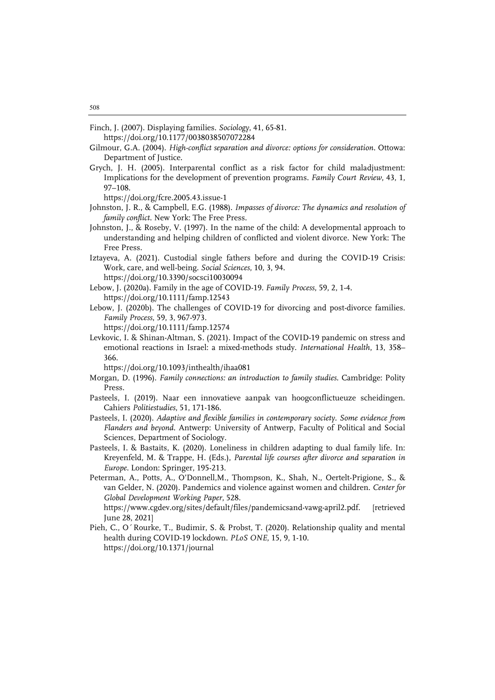Finch, J. (2007). Displaying families. *Sociology*, 41, 65-81. https://doi.org/10.1177/0038038507072284

Gilmour, G.A. (2004). *High-conflict separation and divorce: options for consideration*. Ottowa: Department of Justice.

Grych, J. H. (2005). Interparental conflict as a risk factor for child maladjustment: Implications for the development of prevention programs. *Family Court Review*, 43, 1, 97–108.

https://doi.org/fcre.2005.43.issue-1

- Johnston, J. R., & Campbell, E.G. (1988). *Impasses of divorce: The dynamics and resolution of family conflict*. New York: The Free Press.
- Johnston, J., & Roseby, V. (1997). In the name of the child: A developmental approach to understanding and helping children of conflicted and violent divorce. New York: The Free Press.
- Iztayeva, A. (2021). Custodial single fathers before and during the COVID-19 Crisis: Work, care, and well-being. *Social Sciences*, 10, 3, 94.

https://doi.org/10.3390/socsci10030094 Lebow, J. (2020a). Family in the age of COVID-19. *Family Process*, 59, 2, 1-4.

https://doi.org/10.1111/famp.12543

- Lebow, J. (2020b). The challenges of COVID-19 for divorcing and post-divorce families. *Family Process*, 59, 3, 967-973.
	- https://doi.org/10.1111/famp.12574
- Levkovic, I. & Shinan-Altman, S. (2021). Impact of the COVID-19 pandemic on stress and emotional reactions in Israel: a mixed-methods study. *International Health*, 13, 358– 366.

https://doi.org/10.1093/inthealth/ihaa081

- Morgan, D. (1996). *Family connections: an introduction to family studies*. Cambridge: Polity Press.
- Pasteels, I. (2019). Naar een innovatieve aanpak van hoogconflictueuze scheidingen. Cahiers *Politiestudies*, 51, 171-186.
- Pasteels, I. (2020). *Adaptive and flexible families in contemporary society. Some evidence from Flanders and beyond*. Antwerp: University of Antwerp, Faculty of Political and Social Sciences, Department of Sociology.
- Pasteels, I. & Bastaits, K. (2020). Loneliness in children adapting to dual family life. In: Kreyenfeld, M. & Trappe, H. (Eds.), *Parental life courses after divorce and separation in Europe.* London: Springer, 195-213.
- Peterman, A., Potts, A., O'Donnell,M., Thompson, K., Shah, N., Oertelt-Prigione, S., & van Gelder, N. (2020). Pandemics and violence against women and children. *Center for Global Development Working Paper*, 528.

https://www.cgdev.org/sites/default/files/pandemicsand-vawg-april2.pdf. [retrieved June 28, 2021]

Pieh, C., O´Rourke, T., Budimir, S. & Probst, T. (2020). Relationship quality and mental health during COVID-19 lockdown*. PLoS ONE*, 15, 9, 1-10. https://doi.org/10.1371/journal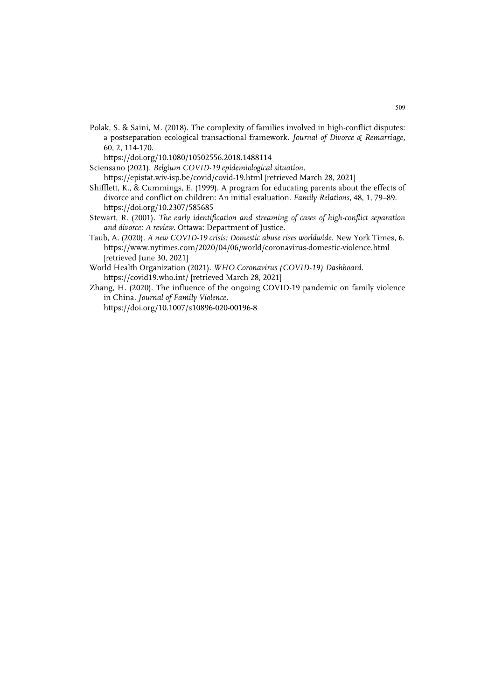Polak, S. & Saini, M. (2018). The complexity of families involved in high-conflict disputes: a postseparation ecological transactional framework. *Journal of Divorce & Remarriage*, 60, 2, 114-170.

https://doi.org/10.1080/10502556.2018.1488114

Sciensano (2021). *Belgium COVID-19 epidemiological situation*.

https://epistat.wiv-isp.be/covid/covid-19.html [retrieved March 28, 2021]

- Shifflett, K., & Cummings, E. (1999). A program for educating parents about the effects of divorce and conflict on children: An initial evaluation. *Family Relations*, 48, 1, 79–89. https://doi.org/10.2307/585685
- Stewart, R. (2001). *The early identification and streaming of cases of high-conflict separation and divorce: A review*. Ottawa: Department of Justice.
- Taub, A. (2020). *A new COVID-19 crisis: Domestic abuse rises worldwide*. New York Times, 6. https://www.nytimes.com/2020/04/06/world/coronavirus-domestic-violence.html [retrieved June 30, 2021]
- World Health Organization (2021). *WHO Coronavirus (COVID-19) Dashboard*. https://covid19.who.int/ [retrieved March 28, 2021]
- Zhang, H. (2020). The influence of the ongoing COVID-19 pandemic on family violence in China*. Journal of Family Violence*. https://doi.org/10.1007/s10896-020-00196-8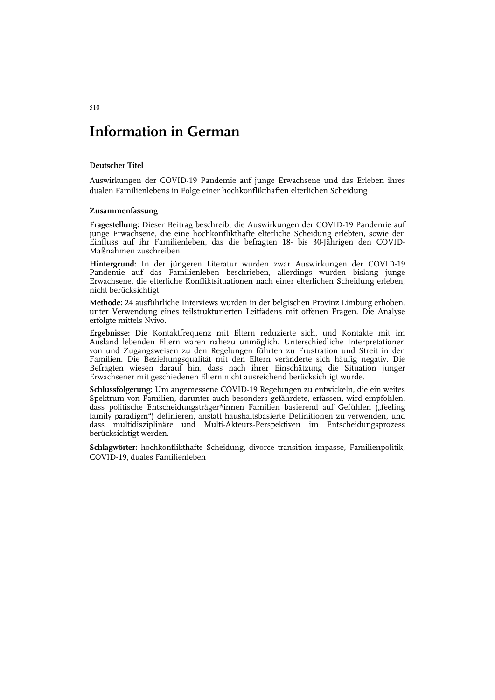## **Information in German**

#### **Deutscher Titel**

Auswirkungen der COVID-19 Pandemie auf junge Erwachsene und das Erleben ihres dualen Familienlebens in Folge einer hochkonflikthaften elterlichen Scheidung

#### **Zusammenfassung**

**Fragestellung:** Dieser Beitrag beschreibt die Auswirkungen der COVID-19 Pandemie auf junge Erwachsene, die eine hochkonflikthafte elterliche Scheidung erlebten, sowie den Einfluss auf ihr Familienleben, das die befragten 18- bis 30-Jährigen den COVID-Maßnahmen zuschreiben.

**Hintergrund:** In der jüngeren Literatur wurden zwar Auswirkungen der COVID-19 Pandemie auf das Familienleben beschrieben, allerdings wurden bislang junge Erwachsene, die elterliche Konfliktsituationen nach einer elterlichen Scheidung erleben, nicht berücksichtigt.

**Methode:** 24 ausführliche Interviews wurden in der belgischen Provinz Limburg erhoben, unter Verwendung eines teilstrukturierten Leitfadens mit offenen Fragen. Die Analyse erfolgte mittels Nvivo.

**Ergebnisse:** Die Kontaktfrequenz mit Eltern reduzierte sich, und Kontakte mit im Ausland lebenden Eltern waren nahezu unmöglich. Unterschiedliche Interpretationen von und Zugangsweisen zu den Regelungen führten zu Frustration und Streit in den Familien. Die Beziehungsqualität mit den Eltern veränderte sich häufig negativ. Die Befragten wiesen darauf hin, dass nach ihrer Einschätzung die Situation junger Erwachsener mit geschiedenen Eltern nicht ausreichend berücksichtigt wurde.

**Schlussfolgerung:** Um angemessene COVID-19 Regelungen zu entwickeln, die ein weites Spektrum von Familien, darunter auch besonders gefährdete, erfassen, wird empfohlen, dass politische Entscheidungsträger\*innen Familien basierend auf Gefühlen ("feeling family paradigm") definieren, anstatt haushaltsbasierte Definitionen zu verwenden, und dass multidisziplinäre und Multi-Akteurs-Perspektiven im Entscheidungsprozess berücksichtigt werden.

**Schlagwörter:** hochkonflikthafte Scheidung, divorce transition impasse, Familienpolitik, COVID-19, duales Familienleben